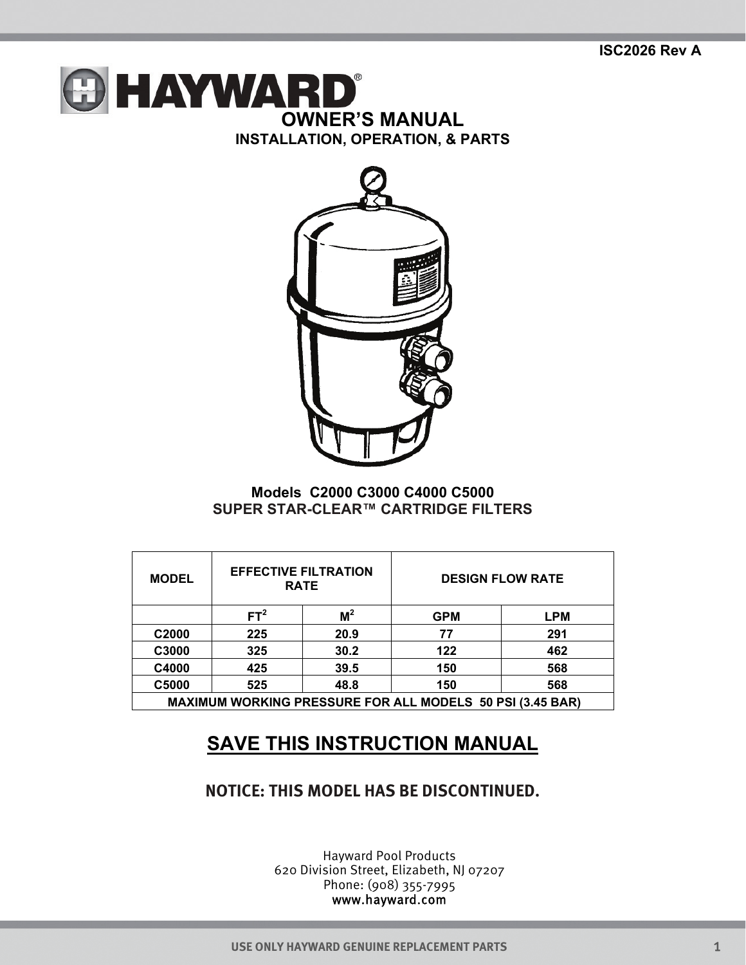



## **Models C2000 C3000 C4000 C5000 SUPER STAR-CLEAR™ CARTRIDGE FILTERS**

| <b>MODEL</b>                                                     | <b>EFFECTIVE FILTRATION</b><br><b>RATE</b> |       | <b>DESIGN FLOW RATE</b> |            |
|------------------------------------------------------------------|--------------------------------------------|-------|-------------------------|------------|
|                                                                  | FT <sup>2</sup>                            | $M^2$ | <b>GPM</b>              | <b>LPM</b> |
| C <sub>2000</sub>                                                | 225                                        | 20.9  | 77                      | 291        |
| C3000                                                            | 325                                        | 30.2  | 122                     | 462        |
| C4000                                                            | 425                                        | 39.5  | 150                     | 568        |
| C5000                                                            | 525                                        | 48.8  | 150                     | 568        |
| <b>MAXIMUM WORKING PRESSURE FOR ALL MODELS 50 PSI (3.45 BAR)</b> |                                            |       |                         |            |

## **SAVE THIS INSTRUCTION MANUAL**

## **NOTICE: THIS MODEL HAS BE DISCONTINUED.**

Hayward Pool Products 620 Division Street, Elizabeth, NJ 07207 Phone: (908) 355-7995 www.hayward.com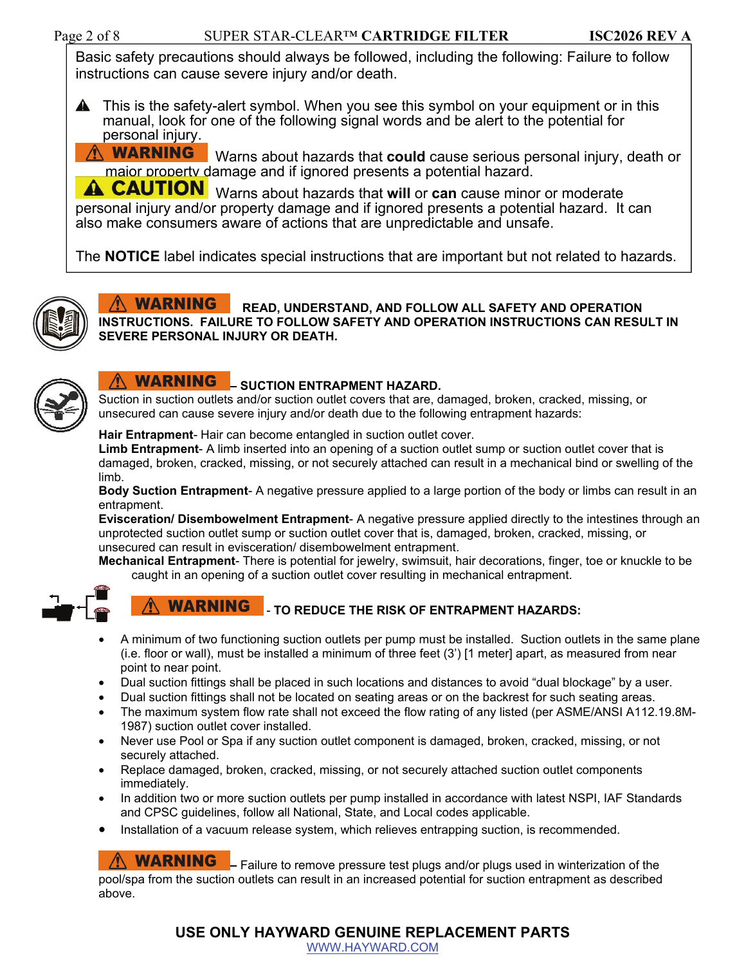Basic safety precautions should always be followed, including the following: Failure to follow instructions can cause severe injury and/or death.

**A** This is the safety-alert symbol. When you see this symbol on your equipment or in this manual, look for one of the following signal words and be alert to the potential for personal injury.

**A WARNING**  Warns about hazards that **could** cause serious personal injury, death or major property damage and if ignored presents a potential hazard.

**A CAUTION** Warns about hazards that will or can cause minor or moderate personal injury and/or property damage and if ignored presents a potential hazard. It can also make consumers aware of actions that are unpredictable and unsafe.

The **NOTICE** label indicates special instructions that are important but not related to hazards.



**WARNING READ, UNDERSTAND, AND FOLLOW ALL SAFETY AND OPERATION INSTRUCTIONS. FAILURE TO FOLLOW SAFETY AND OPERATION INSTRUCTIONS CAN RESULT IN SEVERE PERSONAL INJURY OR DEATH.**



# **WARNING**  $-$  SUCTION ENTRAPMENT HAZARD.

Suction in suction outlets and/or suction outlet covers that are, damaged, broken, cracked, missing, or unsecured can cause severe injury and/or death due to the following entrapment hazards:

#### **Hair Entrapment**- Hair can become entangled in suction outlet cover.

**Limb Entrapment**- A limb inserted into an opening of a suction outlet sump or suction outlet cover that is damaged, broken, cracked, missing, or not securely attached can result in a mechanical bind or swelling of the limb.

**Body Suction Entrapment**- A negative pressure applied to a large portion of the body or limbs can result in an entrapment.

**Evisceration/ Disembowelment Entrapment**- A negative pressure applied directly to the intestines through an unprotected suction outlet sump or suction outlet cover that is, damaged, broken, cracked, missing, or unsecured can result in evisceration/ disembowelment entrapment.

**Mechanical Entrapment**- There is potential for jewelry, swimsuit, hair decorations, finger, toe or knuckle to be caught in an opening of a suction outlet cover resulting in mechanical entrapment.



#### **WARNING** - **TO REDUCE THE RISK OF ENTRAPMENT HAZARDS:**

- A minimum of two functioning suction outlets per pump must be installed. Suction outlets in the same plane (i.e. floor or wall), must be installed a minimum of three feet (3') [1 meter] apart, as measured from near point to near point.
- Dual suction fittings shall be placed in such locations and distances to avoid "dual blockage" by a user.
- Dual suction fittings shall not be located on seating areas or on the backrest for such seating areas.
- The maximum system flow rate shall not exceed the flow rating of any listed (per ASME/ANSI A112.19.8M-1987) suction outlet cover installed.
- Never use Pool or Spa if any suction outlet component is damaged, broken, cracked, missing, or not securely attached.
- Replace damaged, broken, cracked, missing, or not securely attached suction outlet components immediately.
- In addition two or more suction outlets per pump installed in accordance with latest NSPI, IAF Standards and CPSC guidelines, follow all National, State, and Local codes applicable.
- Installation of a vacuum release system, which relieves entrapping suction, is recommended.

**WARNING** - Failure to remove pressure test plugs and/or plugs used in winterization of the pool/spa from the suction outlets can result in an increased potential for suction entrapment as described above.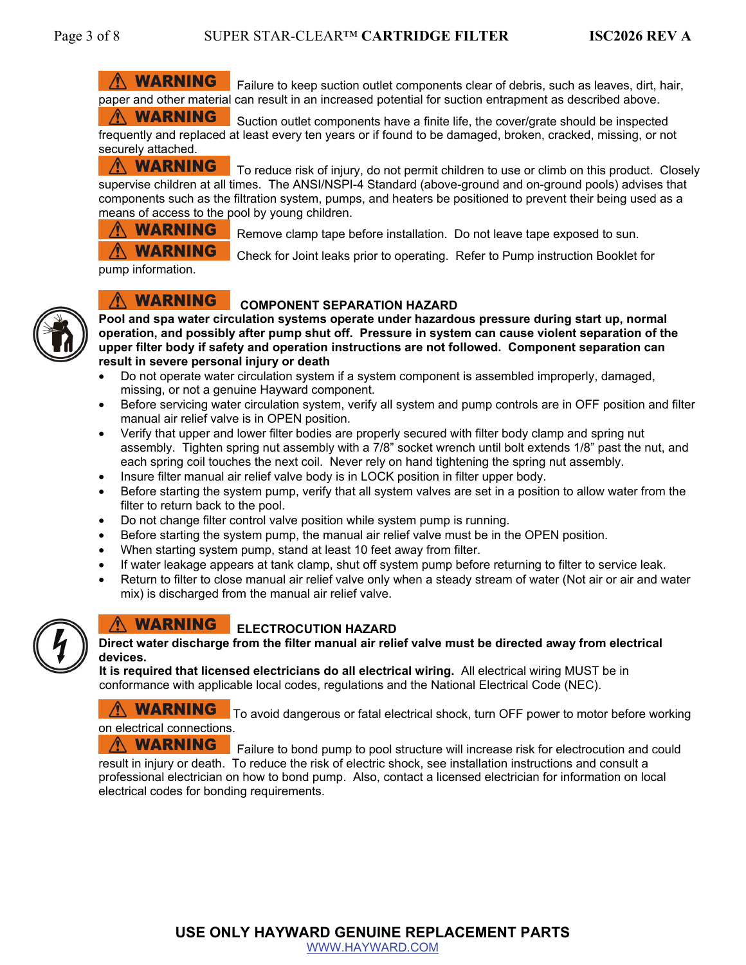## **WARNING**

 Failure to keep suction outlet components clear of debris, such as leaves, dirt, hair, paper and other material can result in an increased potential for suction entrapment as described above.

**WARNING**  Suction outlet components have a finite life, the cover/grate should be inspected frequently and replaced at least every ten years or if found to be damaged, broken, cracked, missing, or not securely attached.

**A WARNING**  To reduce risk of injury, do not permit children to use or climb on this product. Closely supervise children at all times. The ANSI/NSPI-4 Standard (above-ground and on-ground pools) advises that components such as the filtration system, pumps, and heaters be positioned to prevent their being used as a means of access to the pool by young children.



Remove clamp tape before installation. Do not leave tape exposed to sun.

Check for Joint leaks prior to operating. Refer to Pump instruction Booklet for

pump information.



#### **A WARNING COMPONENT SEPARATION HAZARD**

**Pool and spa water circulation systems operate under hazardous pressure during start up, normal operation, and possibly after pump shut off. Pressure in system can cause violent separation of the upper filter body if safety and operation instructions are not followed. Component separation can result in severe personal injury or death** 

- Do not operate water circulation system if a system component is assembled improperly, damaged, missing, or not a genuine Hayward component.
- Before servicing water circulation system, verify all system and pump controls are in OFF position and filter manual air relief valve is in OPEN position.
- Verify that upper and lower filter bodies are properly secured with filter body clamp and spring nut assembly. Tighten spring nut assembly with a 7/8" socket wrench until bolt extends 1/8" past the nut, and each spring coil touches the next coil. Never rely on hand tightening the spring nut assembly.
- Insure filter manual air relief valve body is in LOCK position in filter upper body.
- Before starting the system pump, verify that all system valves are set in a position to allow water from the filter to return back to the pool.
- Do not change filter control valve position while system pump is running.
- Before starting the system pump, the manual air relief valve must be in the OPEN position.
- When starting system pump, stand at least 10 feet away from filter.
- If water leakage appears at tank clamp, shut off system pump before returning to filter to service leak.
- Return to filter to close manual air relief valve only when a steady stream of water (Not air or air and water mix) is discharged from the manual air relief valve.



#### **WARNING ELECTROCUTION HAZARD**

**Direct water discharge from the filter manual air relief valve must be directed away from electrical devices.** 

**It is required that licensed electricians do all electrical wiring.** All electrical wiring MUST be in conformance with applicable local codes, regulations and the National Electrical Code (NEC).

 $\hat{M}$  WARNING To avoid dangerous or fatal electrical shock, turn OFF power to motor before working on electrical connections.

**WARNING**  Failure to bond pump to pool structure will increase risk for electrocution and could result in injury or death. To reduce the risk of electric shock, see installation instructions and consult a professional electrician on how to bond pump. Also, contact a licensed electrician for information on local electrical codes for bonding requirements.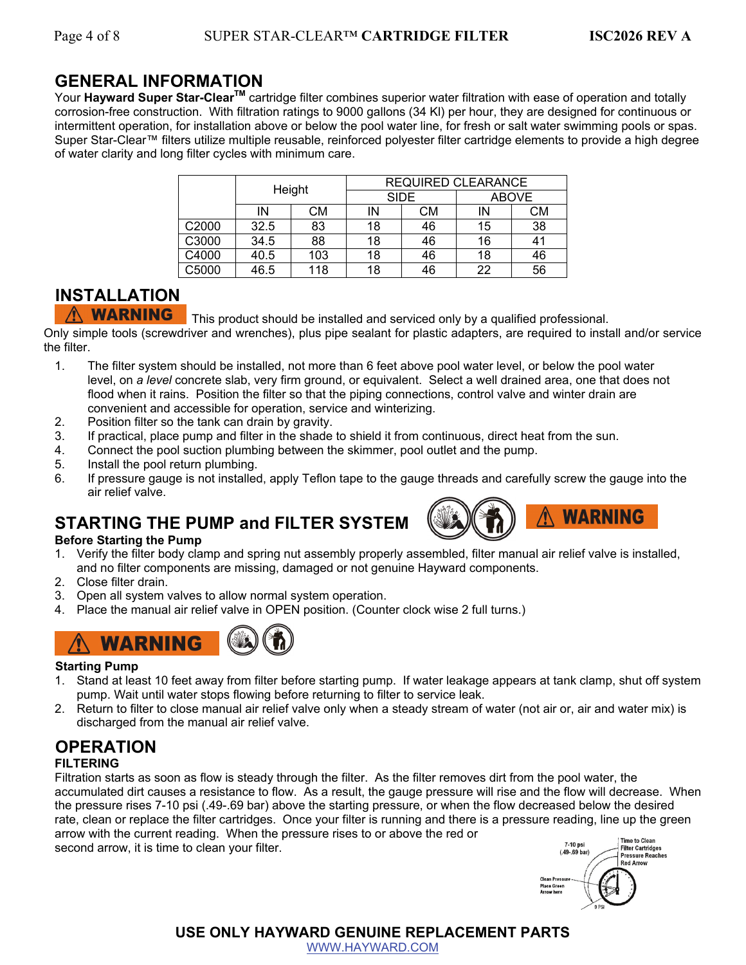## **GENERAL INFORMATION**

Your **Hayward Super Star-ClearTM** cartridge filter combines superior water filtration with ease of operation and totally corrosion-free construction. With filtration ratings to 9000 gallons (34 Kl) per hour, they are designed for continuous or intermittent operation, for installation above or below the pool water line, for fresh or salt water swimming pools or spas. Super Star-Clear™ filters utilize multiple reusable, reinforced polyester filter cartridge elements to provide a high degree of water clarity and long filter cycles with minimum care.

|       | Height |     | <b>REQUIRED CLEARANCE</b> |    |              |    |
|-------|--------|-----|---------------------------|----|--------------|----|
|       |        |     | <b>SIDE</b>               |    | <b>ABOVE</b> |    |
|       | IN     | CМ  | ΙN                        | СM | IN           | СM |
| C2000 | 32.5   | 83  | 18                        | 46 | 15           | 38 |
| C3000 | 34.5   | 88  | 18                        | 46 | 16           | 41 |
| C4000 | 40.5   | 103 | 18                        | 46 | 18           | 46 |
| C5000 | 46.5   | 118 | 18                        | 46 | 22           | 56 |

## **INSTALLATION**

**WARNING** This product should be installed and serviced only by a qualified professional.

Only simple tools (screwdriver and wrenches), plus pipe sealant for plastic adapters, are required to install and/or service the filter.

- 1. The filter system should be installed, not more than 6 feet above pool water level, or below the pool water level, on *a level* concrete slab, very firm ground, or equivalent. Select a well drained area, one that does not flood when it rains. Position the filter so that the piping connections, control valve and winter drain are convenient and accessible for operation, service and winterizing.
- 2. Position filter so the tank can drain by gravity.
- 3. If practical, place pump and filter in the shade to shield it from continuous, direct heat from the sun.
- 4. Connect the pool suction plumbing between the skimmer, pool outlet and the pump.
- 5. Install the pool return plumbing.
- 6. If pressure gauge is not installed, apply Teflon tape to the gauge threads and carefully screw the gauge into the air relief valve.

## **STARTING THE PUMP and FILTER SYSTEM**

#### **Before Starting the Pump**





- 2. Close filter drain.
- 3. Open all system valves to allow normal system operation.
- 4. Place the manual air relief valve in OPEN position. (Counter clock wise 2 full turns.)



#### **Starting Pump**

- 1. Stand at least 10 feet away from filter before starting pump. If water leakage appears at tank clamp, shut off system pump. Wait until water stops flowing before returning to filter to service leak.
- 2. Return to filter to close manual air relief valve only when a steady stream of water (not air or, air and water mix) is discharged from the manual air relief valve.

## **OPERATION**

## **FILTERING**

Filtration starts as soon as flow is steady through the filter. As the filter removes dirt from the pool water, the accumulated dirt causes a resistance to flow. As a result, the gauge pressure will rise and the flow will decrease. When the pressure rises 7-10 psi (.49-.69 bar) above the starting pressure, or when the flow decreased below the desired rate, clean or replace the filter cartridges. Once your filter is running and there is a pressure reading, line up the green arrow with the current reading. When the pressure rises to or above the red or **Time to Clean** 7-10 psi second arrow, it is time to clean your filter. **Filter Cartridges** 

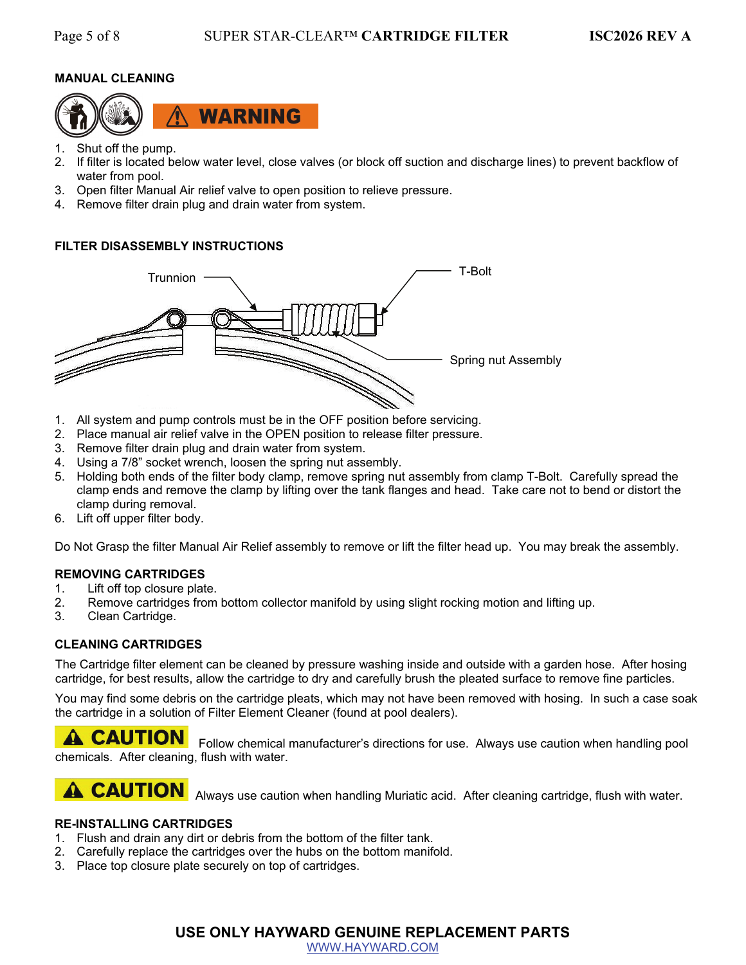## **MANUAL CLEANING**



- 1. Shut off the pump.
- 2. If filter is located below water level, close valves (or block off suction and discharge lines) to prevent backflow of water from pool.
- 3. Open filter Manual Air relief valve to open position to relieve pressure.
- 4. Remove filter drain plug and drain water from system.

#### **FILTER DISASSEMBLY INSTRUCTIONS**



- 1. All system and pump controls must be in the OFF position before servicing.
- 2. Place manual air relief valve in the OPEN position to release filter pressure.
- 3. Remove filter drain plug and drain water from system.
- 4. Using a 7/8" socket wrench, loosen the spring nut assembly.
- 5. Holding both ends of the filter body clamp, remove spring nut assembly from clamp T-Bolt. Carefully spread the clamp ends and remove the clamp by lifting over the tank flanges and head. Take care not to bend or distort the clamp during removal.
- 6. Lift off upper filter body.

Do Not Grasp the filter Manual Air Relief assembly to remove or lift the filter head up. You may break the assembly.

#### **REMOVING CARTRIDGES**

- 1. Lift off top closure plate.
- 2. Remove cartridges from bottom collector manifold by using slight rocking motion and lifting up.
- 3. Clean Cartridge.

#### **CLEANING CARTRIDGES**

The Cartridge filter element can be cleaned by pressure washing inside and outside with a garden hose. After hosing cartridge, for best results, allow the cartridge to dry and carefully brush the pleated surface to remove fine particles.

You may find some debris on the cartridge pleats, which may not have been removed with hosing. In such a case soak the cartridge in a solution of Filter Element Cleaner (found at pool dealers).

**A CAUTION** Follow chemical manufacturer's directions for use. Always use caution when handling pool chemicals. After cleaning, flush with water.

# **A CAUTION**

Always use caution when handling Muriatic acid. After cleaning cartridge, flush with water.

## **RE-INSTALLING CARTRIDGES**

- 1. Flush and drain any dirt or debris from the bottom of the filter tank.
- 2. Carefully replace the cartridges over the hubs on the bottom manifold.
- 3. Place top closure plate securely on top of cartridges.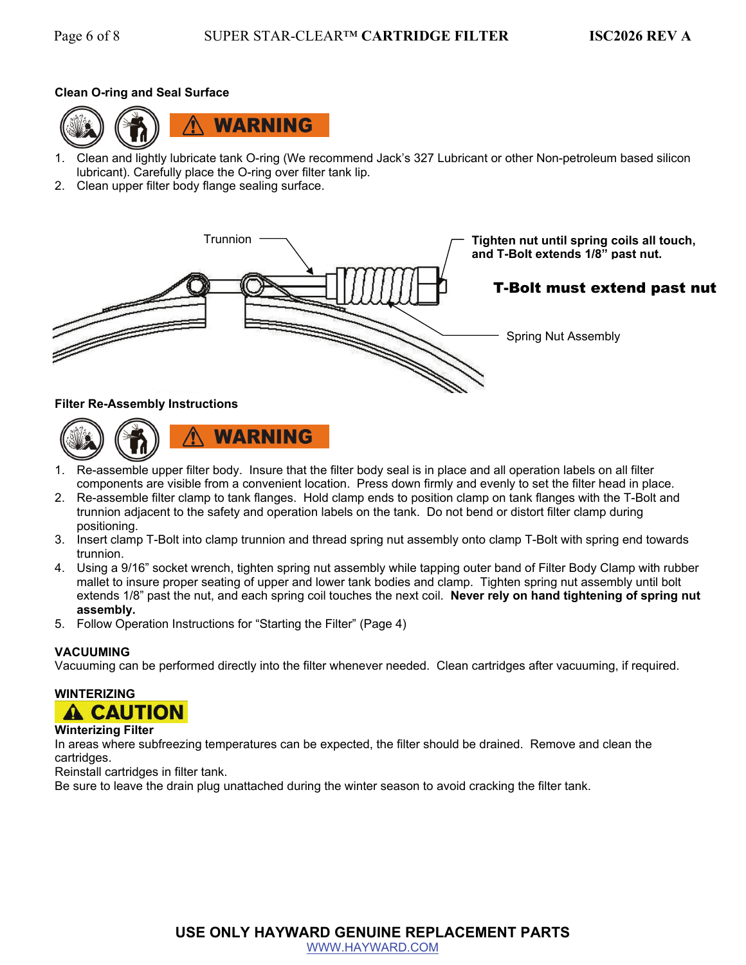### **Clean O-ring and Seal Surface**



- 1. Clean and lightly lubricate tank O-ring (We recommend Jack's 327 Lubricant or other Non-petroleum based silicon lubricant). Carefully place the O-ring over filter tank lip.
- 2. Clean upper filter body flange sealing surface.



#### **Filter Re-Assembly Instructions**



- 1. Re-assemble upper filter body. Insure that the filter body seal is in place and all operation labels on all filter components are visible from a convenient location. Press down firmly and evenly to set the filter head in place.
- 2. Re-assemble filter clamp to tank flanges. Hold clamp ends to position clamp on tank flanges with the T-Bolt and trunnion adjacent to the safety and operation labels on the tank. Do not bend or distort filter clamp during positioning.
- 3. Insert clamp T-Bolt into clamp trunnion and thread spring nut assembly onto clamp T-Bolt with spring end towards trunnion.
- 4. Using a 9/16" socket wrench, tighten spring nut assembly while tapping outer band of Filter Body Clamp with rubber mallet to insure proper seating of upper and lower tank bodies and clamp. Tighten spring nut assembly until bolt extends 1/8" past the nut, and each spring coil touches the next coil. **Never rely on hand tightening of spring nut assembly.**
- 5. Follow Operation Instructions for "Starting the Filter" (Page 4)

#### **VACUUMING**

Vacuuming can be performed directly into the filter whenever needed. Clean cartridges after vacuuming, if required.

# **WINTERIZING**



#### **Winterizing Filter**

In areas where subfreezing temperatures can be expected, the filter should be drained. Remove and clean the cartridges.

Reinstall cartridges in filter tank.

Be sure to leave the drain plug unattached during the winter season to avoid cracking the filter tank.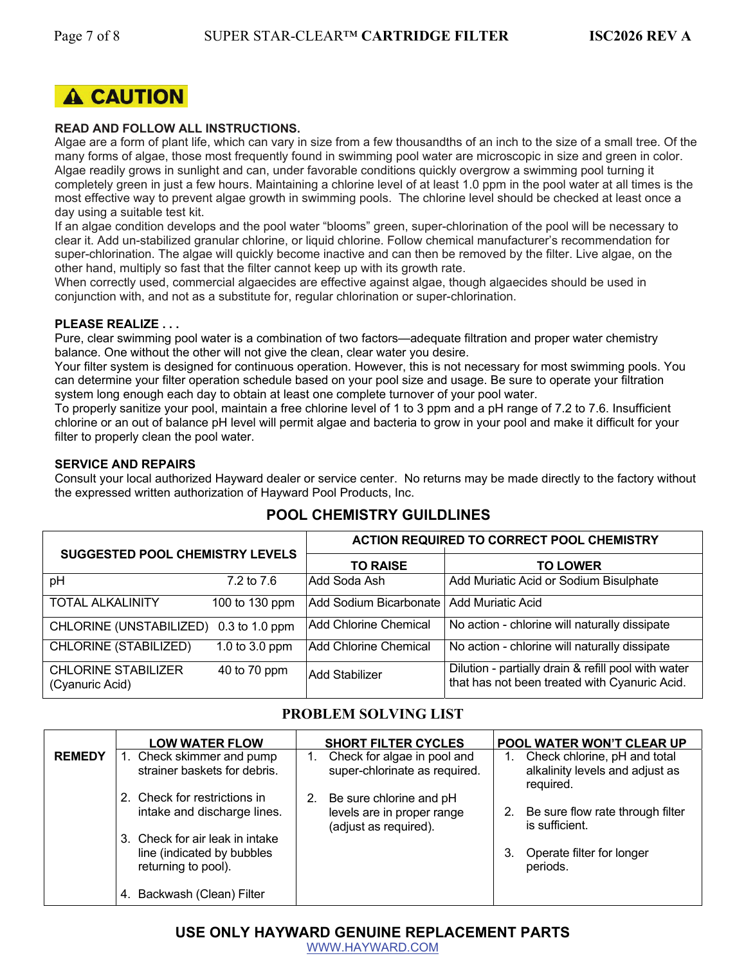

#### **READ AND FOLLOW ALL INSTRUCTIONS.**

Algae are a form of plant life, which can vary in size from a few thousandths of an inch to the size of a small tree. Of the many forms of algae, those most frequently found in swimming pool water are microscopic in size and green in color. Algae readily grows in sunlight and can, under favorable conditions quickly overgrow a swimming pool turning it completely green in just a few hours. Maintaining a chlorine level of at least 1.0 ppm in the pool water at all times is the most effective way to prevent algae growth in swimming pools. The chlorine level should be checked at least once a day using a suitable test kit.

If an algae condition develops and the pool water "blooms" green, super-chlorination of the pool will be necessary to clear it. Add un-stabilized granular chlorine, or liquid chlorine. Follow chemical manufacturer's recommendation for super-chlorination. The algae will quickly become inactive and can then be removed by the filter. Live algae, on the other hand, multiply so fast that the filter cannot keep up with its growth rate.

When correctly used, commercial algaecides are effective against algae, though algaecides should be used in conjunction with, and not as a substitute for, regular chlorination or super-chlorination.

#### **PLEASE REALIZE . . .**

Pure, clear swimming pool water is a combination of two factors—adequate filtration and proper water chemistry balance. One without the other will not give the clean, clear water you desire.

Your filter system is designed for continuous operation. However, this is not necessary for most swimming pools. You can determine your filter operation schedule based on your pool size and usage. Be sure to operate your filtration system long enough each day to obtain at least one complete turnover of your pool water.

To properly sanitize your pool, maintain a free chlorine level of 1 to 3 ppm and a pH range of 7.2 to 7.6. Insufficient chlorine or an out of balance pH level will permit algae and bacteria to grow in your pool and make it difficult for your filter to properly clean the pool water.

#### **SERVICE AND REPAIRS**

Consult your local authorized Hayward dealer or service center. No returns may be made directly to the factory without the expressed written authorization of Hayward Pool Products, Inc.

## **POOL CHEMISTRY GUILDLINES**

| <b>SUGGESTED POOL CHEMISTRY LEVELS</b>        |                  | <b>ACTION REQUIRED TO CORRECT POOL CHEMISTRY</b> |                                                                                                      |  |
|-----------------------------------------------|------------------|--------------------------------------------------|------------------------------------------------------------------------------------------------------|--|
|                                               |                  | <b>TO RAISE</b>                                  | <b>TO LOWER</b>                                                                                      |  |
| pH                                            | 7.2 to 7.6       | Add Soda Ash                                     | Add Muriatic Acid or Sodium Bisulphate                                                               |  |
| <b>TOTAL ALKALINITY</b>                       | 100 to 130 ppm   | Add Sodium Bicarbonate                           | Add Muriatic Acid                                                                                    |  |
| CHLORINE (UNSTABILIZED)                       | $0.3$ to 1.0 ppm | <b>Add Chlorine Chemical</b>                     | No action - chlorine will naturally dissipate                                                        |  |
| CHLORINE (STABILIZED)                         | 1.0 to 3.0 ppm   | Add Chlorine Chemical                            | No action - chlorine will naturally dissipate                                                        |  |
| <b>CHLORINE STABILIZER</b><br>(Cyanuric Acid) | 40 to 70 ppm     | Add Stabilizer                                   | Dilution - partially drain & refill pool with water<br>that has not been treated with Cyanuric Acid. |  |

## **PROBLEM SOLVING LIST**

|               | <b>LOW WATER FLOW</b>                                     | <b>SHORT FILTER CYCLES</b>                                         | POOL WATER WON'T CLEAR UP                                       |
|---------------|-----------------------------------------------------------|--------------------------------------------------------------------|-----------------------------------------------------------------|
| <b>REMEDY</b> | 1. Check skimmer and pump<br>strainer baskets for debris. | Check for algae in pool and<br>1.<br>super-chlorinate as required. | Check chlorine, pH and total<br>alkalinity levels and adjust as |
|               |                                                           |                                                                    | required.                                                       |
|               | 2. Check for restrictions in                              | Be sure chlorine and pH<br>2.                                      |                                                                 |
|               | intake and discharge lines.                               | levels are in proper range<br>(adjust as required).                | Be sure flow rate through filter<br>2.<br>is sufficient.        |
|               | 3. Check for air leak in intake                           |                                                                    |                                                                 |
|               | line (indicated by bubbles<br>returning to pool).         |                                                                    | Operate filter for longer<br>3.<br>periods.                     |
|               | Backwash (Clean) Filter                                   |                                                                    |                                                                 |